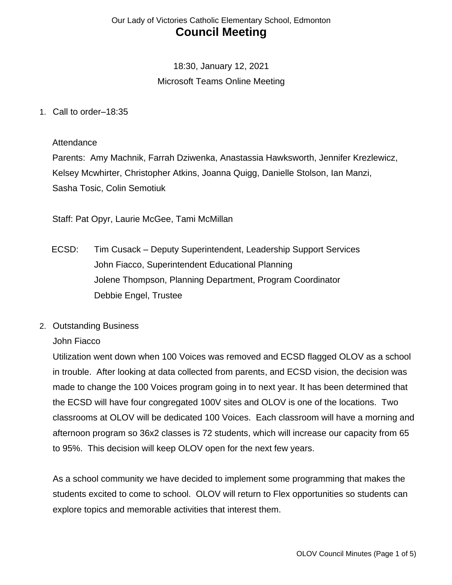# 18:30, January 12, 2021 Microsoft Teams Online Meeting

#### 1. Call to order–18:35

#### **Attendance**

Parents: Amy Machnik, Farrah Dziwenka, Anastassia Hawksworth, Jennifer Krezlewicz, Kelsey Mcwhirter, Christopher Atkins, Joanna Quigg, Danielle Stolson, Ian Manzi, Sasha Tosic, Colin Semotiuk

Staff: Pat Opyr, Laurie McGee, Tami McMillan

- ECSD: Tim Cusack Deputy Superintendent, Leadership Support Services John Fiacco, Superintendent Educational Planning Jolene Thompson, Planning Department, Program Coordinator Debbie Engel, Trustee
- 2. Outstanding Business

#### John Fiacco

Utilization went down when 100 Voices was removed and ECSD flagged OLOV as a school in trouble. After looking at data collected from parents, and ECSD vision, the decision was made to change the 100 Voices program going in to next year. It has been determined that the ECSD will have four congregated 100V sites and OLOV is one of the locations. Two classrooms at OLOV will be dedicated 100 Voices. Each classroom will have a morning and afternoon program so 36x2 classes is 72 students, which will increase our capacity from 65 to 95%. This decision will keep OLOV open for the next few years.

As a school community we have decided to implement some programming that makes the students excited to come to school. OLOV will return to Flex opportunities so students can explore topics and memorable activities that interest them.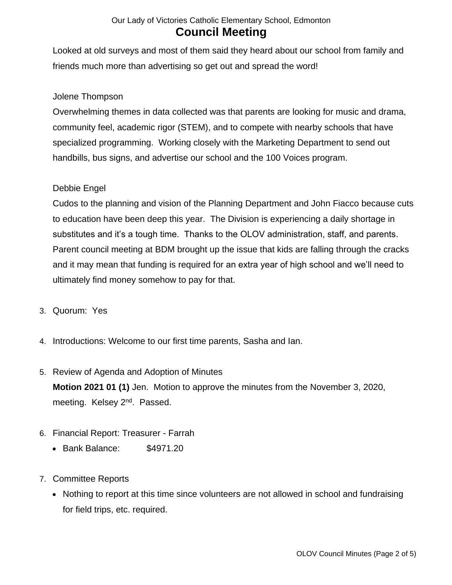Looked at old surveys and most of them said they heard about our school from family and friends much more than advertising so get out and spread the word!

### Jolene Thompson

Overwhelming themes in data collected was that parents are looking for music and drama, community feel, academic rigor (STEM), and to compete with nearby schools that have specialized programming. Working closely with the Marketing Department to send out handbills, bus signs, and advertise our school and the 100 Voices program.

### Debbie Engel

Cudos to the planning and vision of the Planning Department and John Fiacco because cuts to education have been deep this year. The Division is experiencing a daily shortage in substitutes and it's a tough time. Thanks to the OLOV administration, staff, and parents. Parent council meeting at BDM brought up the issue that kids are falling through the cracks and it may mean that funding is required for an extra year of high school and we'll need to ultimately find money somehow to pay for that.

- 3. Quorum: Yes
- 4. Introductions: Welcome to our first time parents, Sasha and Ian.
- 5. Review of Agenda and Adoption of Minutes **Motion 2021 01 (1)** Jen. Motion to approve the minutes from the November 3, 2020, meeting. Kelsey 2<sup>nd</sup>. Passed.
- 6. Financial Report: Treasurer Farrah
	- Bank Balance: \$4971.20
- 7. Committee Reports
	- Nothing to report at this time since volunteers are not allowed in school and fundraising for field trips, etc. required.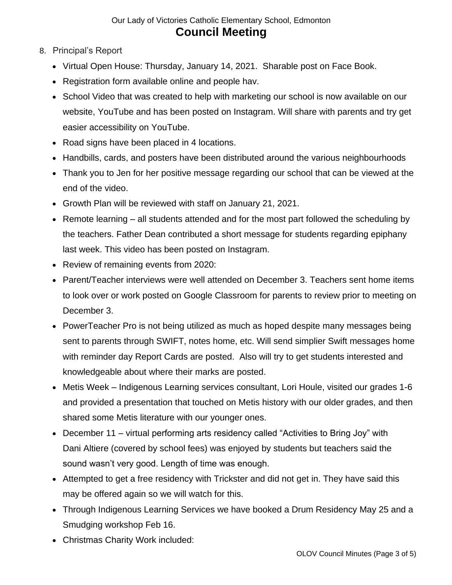- 8. Principal's Report
	- Virtual Open House: Thursday, January 14, 2021. Sharable post on Face Book.
	- Registration form available online and people hav.
	- School Video that was created to help with marketing our school is now available on our website, YouTube and has been posted on Instagram. Will share with parents and try get easier accessibility on YouTube.
	- Road signs have been placed in 4 locations.
	- Handbills, cards, and posters have been distributed around the various neighbourhoods
	- Thank you to Jen for her positive message regarding our school that can be viewed at the end of the video.
	- Growth Plan will be reviewed with staff on January 21, 2021.
	- Remote learning all students attended and for the most part followed the scheduling by the teachers. Father Dean contributed a short message for students regarding epiphany last week. This video has been posted on Instagram.
	- Review of remaining events from 2020:
	- Parent/Teacher interviews were well attended on December 3. Teachers sent home items to look over or work posted on Google Classroom for parents to review prior to meeting on December 3.
	- PowerTeacher Pro is not being utilized as much as hoped despite many messages being sent to parents through SWIFT, notes home, etc. Will send simplier Swift messages home with reminder day Report Cards are posted. Also will try to get students interested and knowledgeable about where their marks are posted.
	- Metis Week Indigenous Learning services consultant, Lori Houle, visited our grades 1-6 and provided a presentation that touched on Metis history with our older grades, and then shared some Metis literature with our younger ones.
	- December 11 virtual performing arts residency called "Activities to Bring Joy" with Dani Altiere (covered by school fees) was enjoyed by students but teachers said the sound wasn't very good. Length of time was enough.
	- Attempted to get a free residency with Trickster and did not get in. They have said this may be offered again so we will watch for this.
	- Through Indigenous Learning Services we have booked a Drum Residency May 25 and a Smudging workshop Feb 16.
	- Christmas Charity Work included: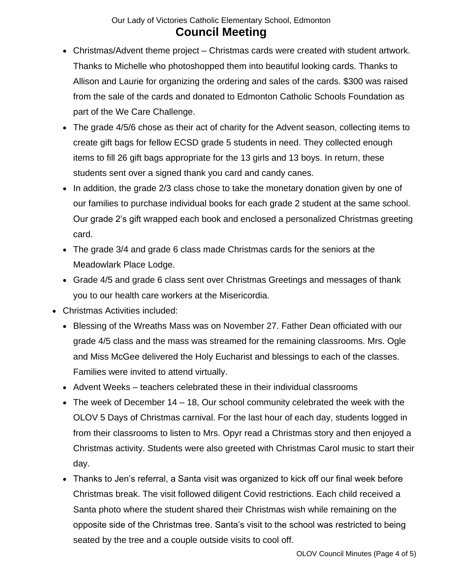- Christmas/Advent theme project Christmas cards were created with student artwork. Thanks to Michelle who photoshopped them into beautiful looking cards. Thanks to Allison and Laurie for organizing the ordering and sales of the cards. \$300 was raised from the sale of the cards and donated to Edmonton Catholic Schools Foundation as part of the We Care Challenge.
- The grade 4/5/6 chose as their act of charity for the Advent season, collecting items to create gift bags for fellow ECSD grade 5 students in need. They collected enough items to fill 26 gift bags appropriate for the 13 girls and 13 boys. In return, these students sent over a signed thank you card and candy canes.
- In addition, the grade 2/3 class chose to take the monetary donation given by one of our families to purchase individual books for each grade 2 student at the same school. Our grade 2's gift wrapped each book and enclosed a personalized Christmas greeting card.
- The grade 3/4 and grade 6 class made Christmas cards for the seniors at the Meadowlark Place Lodge.
- Grade 4/5 and grade 6 class sent over Christmas Greetings and messages of thank you to our health care workers at the Misericordia.
- Christmas Activities included:
	- Blessing of the Wreaths Mass was on November 27. Father Dean officiated with our grade 4/5 class and the mass was streamed for the remaining classrooms. Mrs. Ogle and Miss McGee delivered the Holy Eucharist and blessings to each of the classes. Families were invited to attend virtually.
	- Advent Weeks teachers celebrated these in their individual classrooms
	- The week of December 14 18, Our school community celebrated the week with the OLOV 5 Days of Christmas carnival. For the last hour of each day, students logged in from their classrooms to listen to Mrs. Opyr read a Christmas story and then enjoyed a Christmas activity. Students were also greeted with Christmas Carol music to start their day.
	- Thanks to Jen's referral, a Santa visit was organized to kick off our final week before Christmas break. The visit followed diligent Covid restrictions. Each child received a Santa photo where the student shared their Christmas wish while remaining on the opposite side of the Christmas tree. Santa's visit to the school was restricted to being seated by the tree and a couple outside visits to cool off.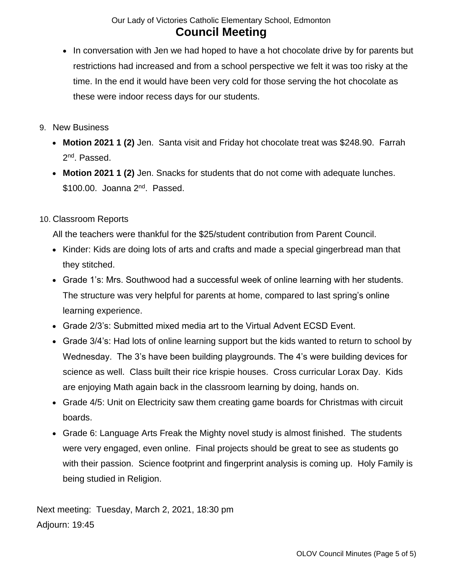- In conversation with Jen we had hoped to have a hot chocolate drive by for parents but restrictions had increased and from a school perspective we felt it was too risky at the time. In the end it would have been very cold for those serving the hot chocolate as these were indoor recess days for our students.
- 9. New Business
	- **Motion 2021 1 (2)** Jen. Santa visit and Friday hot chocolate treat was \$248.90. Farrah 2<sup>nd</sup>. Passed.
	- **Motion 2021 1 (2)** Jen. Snacks for students that do not come with adequate lunches. \$100.00. Joanna 2<sup>nd</sup>. Passed.

### 10. Classroom Reports

All the teachers were thankful for the \$25/student contribution from Parent Council.

- Kinder: Kids are doing lots of arts and crafts and made a special gingerbread man that they stitched.
- Grade 1's: Mrs. Southwood had a successful week of online learning with her students. The structure was very helpful for parents at home, compared to last spring's online learning experience.
- Grade 2/3's: Submitted mixed media art to the Virtual Advent ECSD Event.
- Grade 3/4's: Had lots of online learning support but the kids wanted to return to school by Wednesday. The 3's have been building playgrounds. The 4's were building devices for science as well. Class built their rice krispie houses. Cross curricular Lorax Day. Kids are enjoying Math again back in the classroom learning by doing, hands on.
- Grade 4/5: Unit on Electricity saw them creating game boards for Christmas with circuit boards.
- Grade 6: Language Arts Freak the Mighty novel study is almost finished. The students were very engaged, even online. Final projects should be great to see as students go with their passion. Science footprint and fingerprint analysis is coming up. Holy Family is being studied in Religion.

Next meeting: Tuesday, March 2, 2021, 18:30 pm Adjourn: 19:45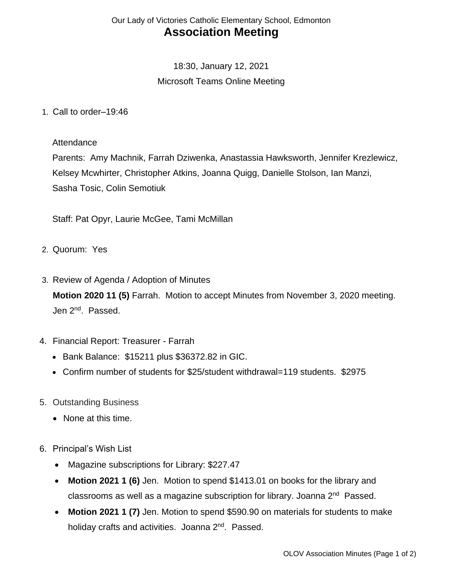# 18:30, January 12, 2021 Microsoft Teams Online Meeting

1. Call to order–19:46

#### **Attendance**

Parents: Amy Machnik, Farrah Dziwenka, Anastassia Hawksworth, Jennifer Krezlewicz, Kelsey Mcwhirter, Christopher Atkins, Joanna Quigg, Danielle Stolson, Ian Manzi, Sasha Tosic, Colin Semotiuk

Staff: Pat Opyr, Laurie McGee, Tami McMillan

- 2. Quorum: Yes
- 3. Review of Agenda / Adoption of Minutes **Motion 2020 11 (5)** Farrah. Motion to accept Minutes from November 3, 2020 meeting. Jen 2<sup>nd</sup>. Passed.
- 4. Financial Report: Treasurer Farrah
	- Bank Balance: \$15211 plus \$36372.82 in GIC.
	- Confirm number of students for \$25/student withdrawal=119 students. \$2975
- 5. Outstanding Business
	- None at this time.
- 6. Principal's Wish List
	- Magazine subscriptions for Library: \$227.47
	- **Motion 2021 1 (6)** Jen. Motion to spend \$1413.01 on books for the library and classrooms as well as a magazine subscription for library. Joanna 2<sup>nd</sup> Passed.
	- **Motion 2021 1 (7)** Jen. Motion to spend \$590.90 on materials for students to make holiday crafts and activities. Joanna 2<sup>nd</sup>. Passed.